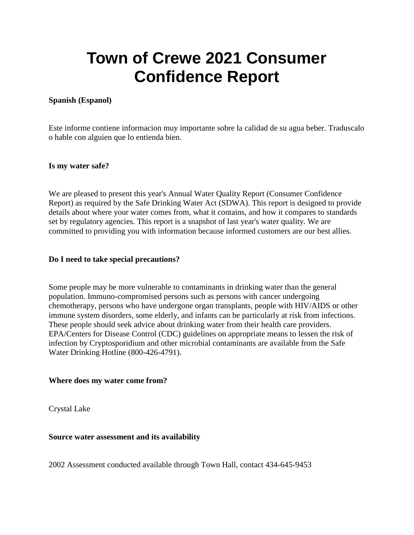# **Town of Crewe 2021 Consumer Confidence Report**

# **Spanish (Espanol)**

Este informe contiene informacion muy importante sobre la calidad de su agua beber. Traduscalo o hable con alguien que lo entienda bien.

# **Is my water safe?**

We are pleased to present this year's Annual Water Quality Report (Consumer Confidence Report) as required by the Safe Drinking Water Act (SDWA). This report is designed to provide details about where your water comes from, what it contains, and how it compares to standards set by regulatory agencies. This report is a snapshot of last year's water quality. We are committed to providing you with information because informed customers are our best allies.

#### **Do I need to take special precautions?**

Some people may be more vulnerable to contaminants in drinking water than the general population. Immuno-compromised persons such as persons with cancer undergoing chemotherapy, persons who have undergone organ transplants, people with HIV/AIDS or other immune system disorders, some elderly, and infants can be particularly at risk from infections. These people should seek advice about drinking water from their health care providers. EPA/Centers for Disease Control (CDC) guidelines on appropriate means to lessen the risk of infection by Cryptosporidium and other microbial contaminants are available from the Safe Water Drinking Hotline (800-426-4791).

# **Where does my water come from?**

Crystal Lake

# **Source water assessment and its availability**

2002 Assessment conducted available through Town Hall, contact 434-645-9453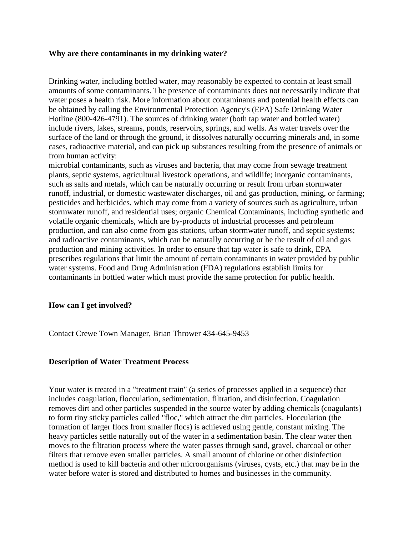#### **Why are there contaminants in my drinking water?**

Drinking water, including bottled water, may reasonably be expected to contain at least small amounts of some contaminants. The presence of contaminants does not necessarily indicate that water poses a health risk. More information about contaminants and potential health effects can be obtained by calling the Environmental Protection Agency's (EPA) Safe Drinking Water Hotline (800-426-4791). The sources of drinking water (both tap water and bottled water) include rivers, lakes, streams, ponds, reservoirs, springs, and wells. As water travels over the surface of the land or through the ground, it dissolves naturally occurring minerals and, in some cases, radioactive material, and can pick up substances resulting from the presence of animals or from human activity:

microbial contaminants, such as viruses and bacteria, that may come from sewage treatment plants, septic systems, agricultural livestock operations, and wildlife; inorganic contaminants, such as salts and metals, which can be naturally occurring or result from urban stormwater runoff, industrial, or domestic wastewater discharges, oil and gas production, mining, or farming; pesticides and herbicides, which may come from a variety of sources such as agriculture, urban stormwater runoff, and residential uses; organic Chemical Contaminants, including synthetic and volatile organic chemicals, which are by-products of industrial processes and petroleum production, and can also come from gas stations, urban stormwater runoff, and septic systems; and radioactive contaminants, which can be naturally occurring or be the result of oil and gas production and mining activities. In order to ensure that tap water is safe to drink, EPA prescribes regulations that limit the amount of certain contaminants in water provided by public water systems. Food and Drug Administration (FDA) regulations establish limits for contaminants in bottled water which must provide the same protection for public health.

# **How can I get involved?**

Contact Crewe Town Manager, Brian Thrower 434-645-9453

# **Description of Water Treatment Process**

Your water is treated in a "treatment train" (a series of processes applied in a sequence) that includes coagulation, flocculation, sedimentation, filtration, and disinfection. Coagulation removes dirt and other particles suspended in the source water by adding chemicals (coagulants) to form tiny sticky particles called "floc," which attract the dirt particles. Flocculation (the formation of larger flocs from smaller flocs) is achieved using gentle, constant mixing. The heavy particles settle naturally out of the water in a sedimentation basin. The clear water then moves to the filtration process where the water passes through sand, gravel, charcoal or other filters that remove even smaller particles. A small amount of chlorine or other disinfection method is used to kill bacteria and other microorganisms (viruses, cysts, etc.) that may be in the water before water is stored and distributed to homes and businesses in the community.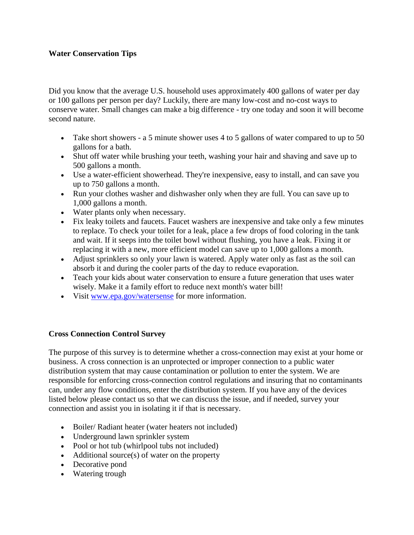# **Water Conservation Tips**

Did you know that the average U.S. household uses approximately 400 gallons of water per day or 100 gallons per person per day? Luckily, there are many low-cost and no-cost ways to conserve water. Small changes can make a big difference - try one today and soon it will become second nature.

- Take short showers a 5 minute shower uses 4 to 5 gallons of water compared to up to 50 gallons for a bath.
- Shut off water while brushing your teeth, washing your hair and shaving and save up to 500 gallons a month.
- Use a water-efficient showerhead. They're inexpensive, easy to install, and can save you up to 750 gallons a month.
- Run your clothes washer and dishwasher only when they are full. You can save up to 1,000 gallons a month.
- Water plants only when necessary.
- Fix leaky toilets and faucets. Faucet washers are inexpensive and take only a few minutes to replace. To check your toilet for a leak, place a few drops of food coloring in the tank and wait. If it seeps into the toilet bowl without flushing, you have a leak. Fixing it or replacing it with a new, more efficient model can save up to 1,000 gallons a month.
- Adjust sprinklers so only your lawn is watered. Apply water only as fast as the soil can absorb it and during the cooler parts of the day to reduce evaporation.
- Teach your kids about water conservation to ensure a future generation that uses water wisely. Make it a family effort to reduce next month's water bill!
- Visit [www.epa.gov/watersense](http://www.epa.gov/watersense) for more information.

# **Cross Connection Control Survey**

The purpose of this survey is to determine whether a cross-connection may exist at your home or business. A cross connection is an unprotected or improper connection to a public water distribution system that may cause contamination or pollution to enter the system. We are responsible for enforcing cross-connection control regulations and insuring that no contaminants can, under any flow conditions, enter the distribution system. If you have any of the devices listed below please contact us so that we can discuss the issue, and if needed, survey your connection and assist you in isolating it if that is necessary.

- Boiler/ Radiant heater (water heaters not included)
- Underground lawn sprinkler system
- Pool or hot tub (whirlpool tubs not included)
- $\bullet$  Additional source(s) of water on the property
- Decorative pond
- Watering trough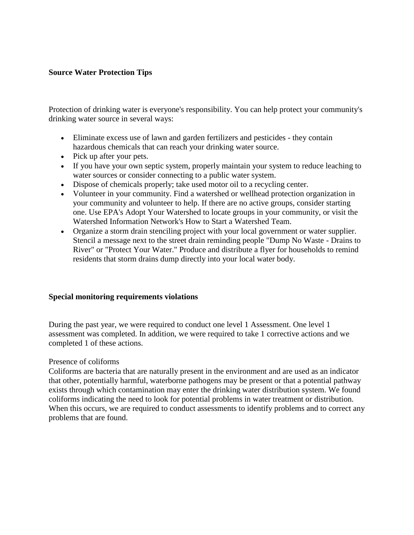# **Source Water Protection Tips**

Protection of drinking water is everyone's responsibility. You can help protect your community's drinking water source in several ways:

- Eliminate excess use of lawn and garden fertilizers and pesticides they contain hazardous chemicals that can reach your drinking water source.
- Pick up after your pets.
- If you have your own septic system, properly maintain your system to reduce leaching to water sources or consider connecting to a public water system.
- Dispose of chemicals properly; take used motor oil to a recycling center.
- Volunteer in your community. Find a watershed or wellhead protection organization in your community and volunteer to help. If there are no active groups, consider starting one. Use EPA's Adopt Your Watershed to locate groups in your community, or visit the Watershed Information Network's How to Start a Watershed Team.
- Organize a storm drain stenciling project with your local government or water supplier. Stencil a message next to the street drain reminding people "Dump No Waste - Drains to River" or "Protect Your Water." Produce and distribute a flyer for households to remind residents that storm drains dump directly into your local water body.

# **Special monitoring requirements violations**

During the past year, we were required to conduct one level 1 Assessment. One level 1 assessment was completed. In addition, we were required to take 1 corrective actions and we completed 1 of these actions.

#### Presence of coliforms

Coliforms are bacteria that are naturally present in the environment and are used as an indicator that other, potentially harmful, waterborne pathogens may be present or that a potential pathway exists through which contamination may enter the drinking water distribution system. We found coliforms indicating the need to look for potential problems in water treatment or distribution. When this occurs, we are required to conduct assessments to identify problems and to correct any problems that are found.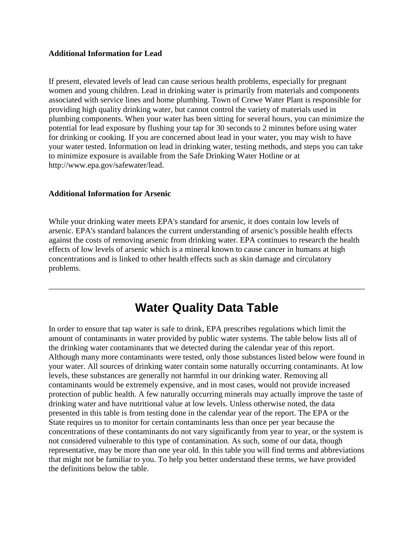# **Additional Information for Lead**

If present, elevated levels of lead can cause serious health problems, especially for pregnant women and young children. Lead in drinking water is primarily from materials and components associated with service lines and home plumbing. Town of Crewe Water Plant is responsible for providing high quality drinking water, but cannot control the variety of materials used in plumbing components. When your water has been sitting for several hours, you can minimize the potential for lead exposure by flushing your tap for 30 seconds to 2 minutes before using water for drinking or cooking. If you are concerned about lead in your water, you may wish to have your water tested. Information on lead in drinking water, testing methods, and steps you can take to minimize exposure is available from the Safe Drinking Water Hotline or at http://www.epa.gov/safewater/lead.

# **Additional Information for Arsenic**

While your drinking water meets EPA's standard for arsenic, it does contain low levels of arsenic. EPA's standard balances the current understanding of arsenic's possible health effects against the costs of removing arsenic from drinking water. EPA continues to research the health effects of low levels of arsenic which is a mineral known to cause cancer in humans at high concentrations and is linked to other health effects such as skin damage and circulatory problems.

# **Water Quality Data Table**

In order to ensure that tap water is safe to drink, EPA prescribes regulations which limit the amount of contaminants in water provided by public water systems. The table below lists all of the drinking water contaminants that we detected during the calendar year of this report. Although many more contaminants were tested, only those substances listed below were found in your water. All sources of drinking water contain some naturally occurring contaminants. At low levels, these substances are generally not harmful in our drinking water. Removing all contaminants would be extremely expensive, and in most cases, would not provide increased protection of public health. A few naturally occurring minerals may actually improve the taste of drinking water and have nutritional value at low levels. Unless otherwise noted, the data presented in this table is from testing done in the calendar year of the report. The EPA or the State requires us to monitor for certain contaminants less than once per year because the concentrations of these contaminants do not vary significantly from year to year, or the system is not considered vulnerable to this type of contamination. As such, some of our data, though representative, may be more than one year old. In this table you will find terms and abbreviations that might not be familiar to you. To help you better understand these terms, we have provided the definitions below the table.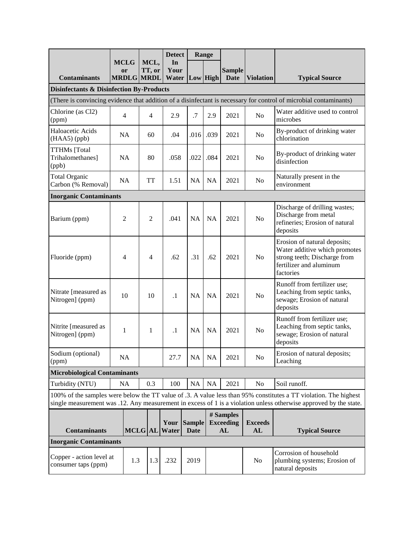|                                                                                                                                                                                                                                       | <b>MCLG</b><br>MCL,           |     | <b>Detect</b>     |               | Range                        |           |                                     |                      |                                                                                                                                       |
|---------------------------------------------------------------------------------------------------------------------------------------------------------------------------------------------------------------------------------------|-------------------------------|-----|-------------------|---------------|------------------------------|-----------|-------------------------------------|----------------------|---------------------------------------------------------------------------------------------------------------------------------------|
|                                                                                                                                                                                                                                       | or                            |     | TT, or            | In<br>Your    |                              |           | <b>Sample</b>                       |                      |                                                                                                                                       |
| <b>Contaminants</b>                                                                                                                                                                                                                   |                               |     | <b>MRDLG MRDL</b> | Water         | Low High                     |           | <b>Date</b>                         | <b>Violation</b>     | <b>Typical Source</b>                                                                                                                 |
| <b>Disinfectants &amp; Disinfection By-Products</b>                                                                                                                                                                                   |                               |     |                   |               |                              |           |                                     |                      |                                                                                                                                       |
| (There is convincing evidence that addition of a disinfectant is necessary for control of microbial contaminants)                                                                                                                     |                               |     |                   |               |                              |           |                                     |                      |                                                                                                                                       |
| Chlorine (as Cl2)<br>(ppm)                                                                                                                                                                                                            | $\overline{4}$                |     | $\overline{4}$    | 2.9           | .7                           | 2.9       | 2021                                | N <sub>0</sub>       | Water additive used to control<br>microbes                                                                                            |
| Haloacetic Acids<br>(HAA5) (ppb)                                                                                                                                                                                                      | <b>NA</b>                     |     | 60                | .04           | .016                         | .039      | 2021                                | N <sub>0</sub>       | By-product of drinking water<br>chlorination                                                                                          |
| <b>TTHMs</b> [Total<br>Trihalomethanes]<br>(ppb)                                                                                                                                                                                      | <b>NA</b>                     |     | 80                | .058          | .022                         | .084      | 2021                                | No                   | By-product of drinking water<br>disinfection                                                                                          |
| <b>Total Organic</b><br>Carbon (% Removal)                                                                                                                                                                                            | <b>NA</b>                     |     | <b>TT</b>         | 1.51          | <b>NA</b>                    | NA        | 2021                                | N <sub>o</sub>       | Naturally present in the<br>environment                                                                                               |
| <b>Inorganic Contaminants</b>                                                                                                                                                                                                         |                               |     |                   |               |                              |           |                                     |                      |                                                                                                                                       |
| Barium (ppm)                                                                                                                                                                                                                          | 2                             |     | $\overline{2}$    | .041          | <b>NA</b>                    | <b>NA</b> | 2021                                | N <sub>o</sub>       | Discharge of drilling wastes;<br>Discharge from metal<br>refineries; Erosion of natural<br>deposits                                   |
| Fluoride (ppm)                                                                                                                                                                                                                        | 4                             |     | 4                 | .62           | .31                          | .62       | 2021                                | N <sub>o</sub>       | Erosion of natural deposits;<br>Water additive which promotes<br>strong teeth; Discharge from<br>fertilizer and aluminum<br>factories |
| Nitrate [measured as<br>Nitrogen] (ppm)                                                                                                                                                                                               | 10                            |     | 10                | $\cdot$       | <b>NA</b>                    | <b>NA</b> | 2021                                | N <sub>o</sub>       | Runoff from fertilizer use;<br>Leaching from septic tanks,<br>sewage; Erosion of natural<br>deposits                                  |
| Nitrite [measured as<br>Nitrogen] (ppm)                                                                                                                                                                                               | 1                             |     | $\mathbf{1}$      | $\cdot$       | <b>NA</b>                    | <b>NA</b> | 2021                                | N <sub>o</sub>       | Runoff from fertilizer use;<br>Leaching from septic tanks,<br>sewage; Erosion of natural<br>deposits                                  |
| Sodium (optional)<br>(ppm)                                                                                                                                                                                                            | NA                            |     |                   | 27.7          | NA                           | <b>NA</b> | 2021                                | No                   | Erosion of natural deposits;<br>Leaching                                                                                              |
| <b>Microbiological Contaminants</b>                                                                                                                                                                                                   |                               |     |                   |               |                              |           |                                     |                      |                                                                                                                                       |
| Turbidity (NTU)                                                                                                                                                                                                                       | NA                            |     | 0.3               | 100           | NA                           | NA        | 2021                                | No                   | Soil runoff.                                                                                                                          |
| 100% of the samples were below the TT value of .3. A value less than 95% constitutes a TT violation. The highest<br>single measurement was .12. Any measurement in excess of 1 is a violation unless otherwise approved by the state. |                               |     |                   |               |                              |           |                                     |                      |                                                                                                                                       |
| <b>Contaminants</b>                                                                                                                                                                                                                   |                               |     | <b>MCLG</b> AL    | Your<br>Water | <b>Sample</b><br><b>Date</b> |           | # Samples<br><b>Exceeding</b><br>AL | <b>Exceeds</b><br>AL | <b>Typical Source</b>                                                                                                                 |
|                                                                                                                                                                                                                                       | <b>Inorganic Contaminants</b> |     |                   |               |                              |           |                                     |                      |                                                                                                                                       |
| Copper - action level at<br>consumer taps (ppm)                                                                                                                                                                                       |                               | 1.3 | 1.3               | .232          | 2019                         |           |                                     | No                   | Corrosion of household<br>plumbing systems; Erosion of<br>natural deposits                                                            |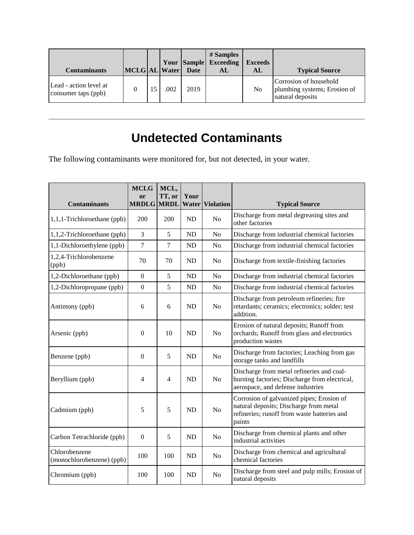| <b>Contaminants</b>                           | MCLG AL Water Date |      |      | # Samples<br><b>Your Sample Exceeding</b><br>AL | <b>Exceeds</b><br>AL | <b>Typical Source</b>                                                      |
|-----------------------------------------------|--------------------|------|------|-------------------------------------------------|----------------------|----------------------------------------------------------------------------|
| Lead - action level at<br>consumer taps (ppb) |                    | .002 | 2019 |                                                 | N <sub>0</sub>       | Corrosion of household<br>plumbing systems; Erosion of<br>natural deposits |

# **Undetected Contaminants**

The following contaminants were monitored for, but not detected, in your water.

| <b>Contaminants</b>                        | <b>MCLG</b><br>or<br><b>MRDLG MRDL</b> | MCL,<br>TT, or | Your<br>Water | <b>Violation</b> | <b>Typical Source</b>                                                                                                                        |
|--------------------------------------------|----------------------------------------|----------------|---------------|------------------|----------------------------------------------------------------------------------------------------------------------------------------------|
| 1,1,1-Trichloroethane (ppb)                | 200                                    | 200            | <b>ND</b>     | N <sub>o</sub>   | Discharge from metal degreasing sites and<br>other factories                                                                                 |
| 1,1,2-Trichloroethane (ppb)                | 3                                      | 5              | <b>ND</b>     | N <sub>0</sub>   | Discharge from industrial chemical factories                                                                                                 |
| 1,1-Dichloroethylene (ppb)                 | $\overline{7}$                         | $\tau$         | ND            | N <sub>o</sub>   | Discharge from industrial chemical factories                                                                                                 |
| 1,2,4-Trichlorobenzene<br>(ppb)            | 70                                     | 70             | <b>ND</b>     | N <sub>o</sub>   | Discharge from textile-finishing factories                                                                                                   |
| 1,2-Dichloroethane (ppb)                   | $\boldsymbol{0}$                       | 5              | <b>ND</b>     | No               | Discharge from industrial chemical factories                                                                                                 |
| 1,2-Dichloropropane (ppb)                  | $\boldsymbol{0}$                       | 5              | <b>ND</b>     | N <sub>o</sub>   | Discharge from industrial chemical factories                                                                                                 |
| Antimony (ppb)                             | 6                                      | 6              | <b>ND</b>     | N <sub>o</sub>   | Discharge from petroleum refineries; fire<br>retardants; ceramics; electronics; solder; test<br>addition.                                    |
| Arsenic (ppb)                              | $\mathbf{0}$                           | 10             | <b>ND</b>     | N <sub>o</sub>   | Erosion of natural deposits; Runoff from<br>orchards; Runoff from glass and electronics<br>production wastes                                 |
| Benzene (ppb)                              | $\Omega$                               | 5              | <b>ND</b>     | No               | Discharge from factories; Leaching from gas<br>storage tanks and landfills                                                                   |
| Beryllium (ppb)                            | 4                                      | 4              | <b>ND</b>     | N <sub>o</sub>   | Discharge from metal refineries and coal-<br>burning factories; Discharge from electrical,<br>aerospace, and defense industries              |
| Cadmium (ppb)                              | 5                                      | 5              | <b>ND</b>     | N <sub>o</sub>   | Corrosion of galvanized pipes; Erosion of<br>natural deposits; Discharge from metal<br>refineries; runoff from waste batteries and<br>paints |
| Carbon Tetrachloride (ppb)                 | $\Omega$                               | 5              | <b>ND</b>     | No               | Discharge from chemical plants and other<br>industrial activities                                                                            |
| Chlorobenzene<br>(monochlorobenzene) (ppb) | 100                                    | 100            | <b>ND</b>     | N <sub>o</sub>   | Discharge from chemical and agricultural<br>chemical factories                                                                               |
| Chromium (ppb)                             | 100                                    | 100            | <b>ND</b>     | N <sub>0</sub>   | Discharge from steel and pulp mills; Erosion of<br>natural deposits                                                                          |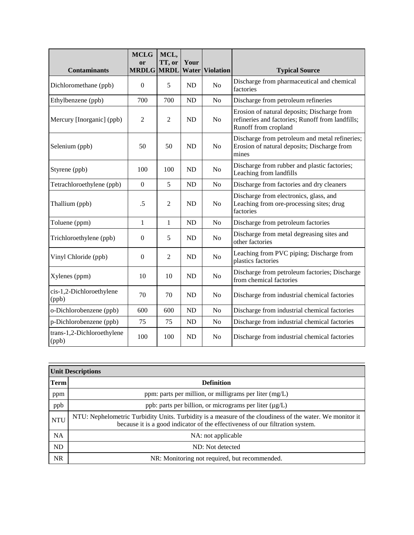| <b>Contaminants</b>                 | <b>MCLG</b><br><sub>or</sub><br><b>MRDLG</b> | MCL,<br>TT, or<br><b>MRDL</b> | Your<br>Water | <b>Violation</b> | <b>Typical Source</b>                                                                                                   |
|-------------------------------------|----------------------------------------------|-------------------------------|---------------|------------------|-------------------------------------------------------------------------------------------------------------------------|
| Dichloromethane (ppb)               | $\boldsymbol{0}$                             | 5                             | <b>ND</b>     | N <sub>o</sub>   | Discharge from pharmaceutical and chemical<br>factories                                                                 |
| Ethylbenzene (ppb)                  | 700                                          | 700                           | <b>ND</b>     | N <sub>o</sub>   | Discharge from petroleum refineries                                                                                     |
| Mercury [Inorganic] (ppb)           | $\overline{2}$                               | $\overline{2}$                | <b>ND</b>     | N <sub>o</sub>   | Erosion of natural deposits; Discharge from<br>refineries and factories; Runoff from landfills;<br>Runoff from cropland |
| Selenium (ppb)                      | 50                                           | 50                            | <b>ND</b>     | N <sub>o</sub>   | Discharge from petroleum and metal refineries;<br>Erosion of natural deposits; Discharge from<br>mines                  |
| Styrene (ppb)                       | 100                                          | 100                           | <b>ND</b>     | No               | Discharge from rubber and plastic factories;<br>Leaching from landfills                                                 |
| Tetrachloroethylene (ppb)           | $\boldsymbol{0}$                             | 5                             | <b>ND</b>     | N <sub>0</sub>   | Discharge from factories and dry cleaners                                                                               |
| Thallium (ppb)                      | .5                                           | 2                             | <b>ND</b>     | N <sub>o</sub>   | Discharge from electronics, glass, and<br>Leaching from ore-processing sites; drug<br>factories                         |
| Toluene (ppm)                       | 1                                            | $\mathbf{1}$                  | <b>ND</b>     | N <sub>o</sub>   | Discharge from petroleum factories                                                                                      |
| Trichloroethylene (ppb)             | $\mathbf{0}$                                 | 5                             | <b>ND</b>     | N <sub>o</sub>   | Discharge from metal degreasing sites and<br>other factories                                                            |
| Vinyl Chloride (ppb)                | $\mathbf{0}$                                 | $\mathfrak{2}$                | <b>ND</b>     | N <sub>o</sub>   | Leaching from PVC piping; Discharge from<br>plastics factories                                                          |
| Xylenes (ppm)                       | 10                                           | 10                            | <b>ND</b>     | N <sub>o</sub>   | Discharge from petroleum factories; Discharge<br>from chemical factories                                                |
| cis-1,2-Dichloroethylene<br>(ppb)   | 70                                           | 70                            | <b>ND</b>     | N <sub>0</sub>   | Discharge from industrial chemical factories                                                                            |
| o-Dichlorobenzene (ppb)             | 600                                          | 600                           | ND            | N <sub>o</sub>   | Discharge from industrial chemical factories                                                                            |
| p-Dichlorobenzene (ppb)             | 75                                           | 75                            | <b>ND</b>     | No               | Discharge from industrial chemical factories                                                                            |
| trans-1,2-Dichloroethylene<br>(ppb) | 100                                          | 100                           | <b>ND</b>     | N <sub>o</sub>   | Discharge from industrial chemical factories                                                                            |

| <b>Unit Descriptions</b> |                                                                                                                                                                                           |  |  |  |  |
|--------------------------|-------------------------------------------------------------------------------------------------------------------------------------------------------------------------------------------|--|--|--|--|
| <b>Term</b>              | <b>Definition</b>                                                                                                                                                                         |  |  |  |  |
| ppm                      | ppm: parts per million, or milligrams per liter $(mg/L)$                                                                                                                                  |  |  |  |  |
| ppb                      | ppb: parts per billion, or micrograms per liter $(\mu g/L)$                                                                                                                               |  |  |  |  |
| <b>NTU</b>               | NTU: Nephelometric Turbidity Units. Turbidity is a measure of the cloudiness of the water. We monitor it<br>because it is a good indicator of the effectiveness of our filtration system. |  |  |  |  |
| <b>NA</b>                | NA: not applicable                                                                                                                                                                        |  |  |  |  |
| ND                       | ND: Not detected                                                                                                                                                                          |  |  |  |  |
| <b>NR</b>                | NR: Monitoring not required, but recommended.                                                                                                                                             |  |  |  |  |